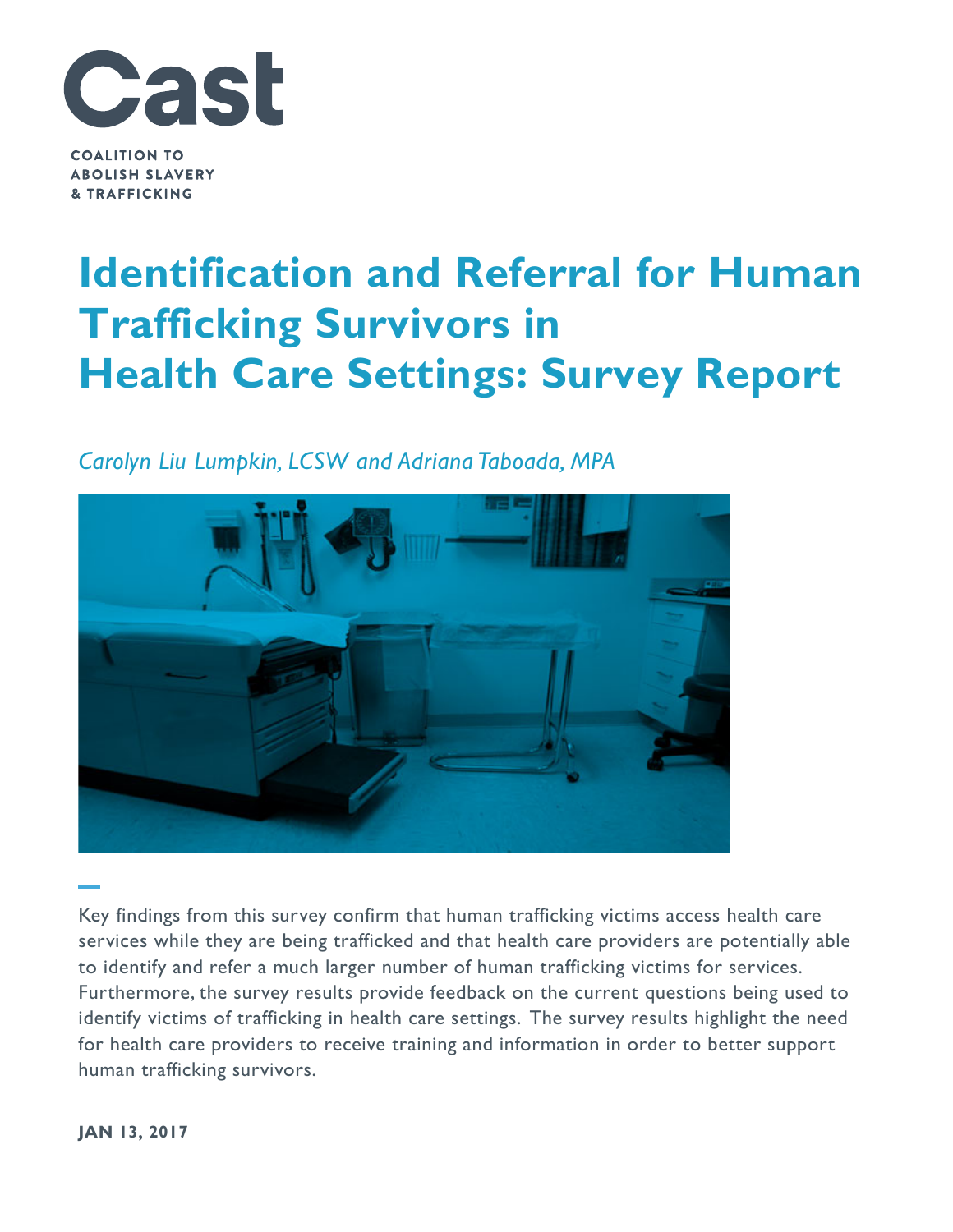

**COALITION TO ABOLISH SLAVERY & TRAFFICKING** 

# **Identification and Referral for Human Trafficking Survivors in Health Care Settings: Survey Report**

# *Carolyn Liu Lumpkin, LCSW and Adriana Taboada, MPA*



Key findings from this survey confirm that human trafficking victims access health care services while they are being trafficked and that health care providers are potentially able to identify and refer a much larger number of human trafficking victims for services. Furthermore, the survey results provide feedback on the current questions being used to identify victims of trafficking in health care settings. The survey results highlight the need for health care providers to receive training and information in order to better support human trafficking survivors.

**JAN 13, 2017**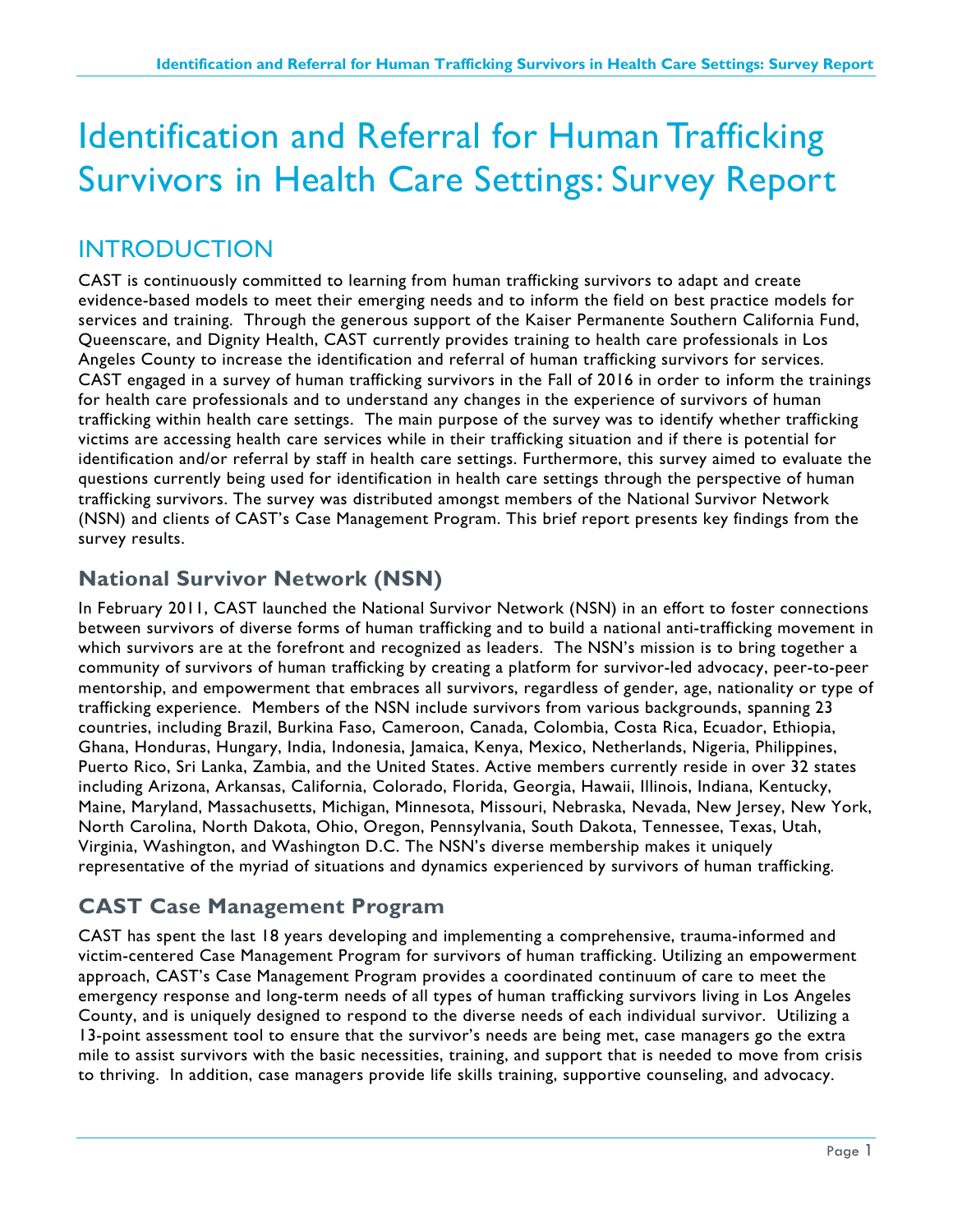# Identification and Referral for Human Trafficking Survivors in Health Care Settings: Survey Report

# INTRODUCTION

CAST is continuously committed to learning from human trafficking survivors to adapt and create evidence-based models to meet their emerging needs and to inform the field on best practice models for services and training. Through the generous support of the Kaiser Permanente Southern California Fund, Queenscare, and Dignity Health, CAST currently provides training to health care professionals in Los Angeles County to increase the identification and referral of human trafficking survivors for services. CAST engaged in a survey of human trafficking survivors in the Fall of 2016 in order to inform the trainings for health care professionals and to understand any changes in the experience of survivors of human trafficking within health care settings. The main purpose of the survey was to identify whether trafficking victims are accessing health care services while in their trafficking situation and if there is potential for identification and/or referral by staff in health care settings. Furthermore, this survey aimed to evaluate the questions currently being used for identification in health care settings through the perspective of human trafficking survivors. The survey was distributed amongst members of the National Survivor Network (NSN) and clients of CAST's Case Management Program. This brief report presents key findings from the survey results.

### **National Survivor Network (NSN)**

In February 2011, CAST launched the National Survivor Network (NSN) in an effort to foster connections between survivors of diverse forms of human trafficking and to build a national anti-trafficking movement in which survivors are at the forefront and recognized as leaders. The NSN's mission is to bring together a community of survivors of human trafficking by creating a platform for survivor-led advocacy, peer-to-peer mentorship, and empowerment that embraces all survivors, regardless of gender, age, nationality or type of trafficking experience. Members of the NSN include survivors from various backgrounds, spanning 23 countries, including Brazil, Burkina Faso, Cameroon, Canada, Colombia, Costa Rica, Ecuador, Ethiopia, Ghana, Honduras, Hungary, India, Indonesia, Jamaica, Kenya, Mexico, Netherlands, Nigeria, Philippines, Puerto Rico, Sri Lanka, Zambia, and the United States. Active members currently reside in over 32 states including Arizona, Arkansas, California, Colorado, Florida, Georgia, Hawaii, Illinois, Indiana, Kentucky, Maine, Maryland, Massachusetts, Michigan, Minnesota, Missouri, Nebraska, Nevada, New Jersey, New York, North Carolina, North Dakota, Ohio, Oregon, Pennsylvania, South Dakota, Tennessee, Texas, Utah, Virginia, Washington, and Washington D.C. The NSN's diverse membership makes it uniquely representative of the myriad of situations and dynamics experienced by survivors of human trafficking.

## **CAST Case Management Program**

CAST has spent the last 18 years developing and implementing a comprehensive, trauma-informed and victim-centered Case Management Program for survivors of human trafficking. Utilizing an empowerment approach, CAST's Case Management Program provides a coordinated continuum of care to meet the emergency response and long-term needs of all types of human trafficking survivors living in Los Angeles County, and is uniquely designed to respond to the diverse needs of each individual survivor. Utilizing a 13-point assessment tool to ensure that the survivor's needs are being met, case managers go the extra mile to assist survivors with the basic necessities, training, and support that is needed to move from crisis to thriving. In addition, case managers provide life skills training, supportive counseling, and advocacy.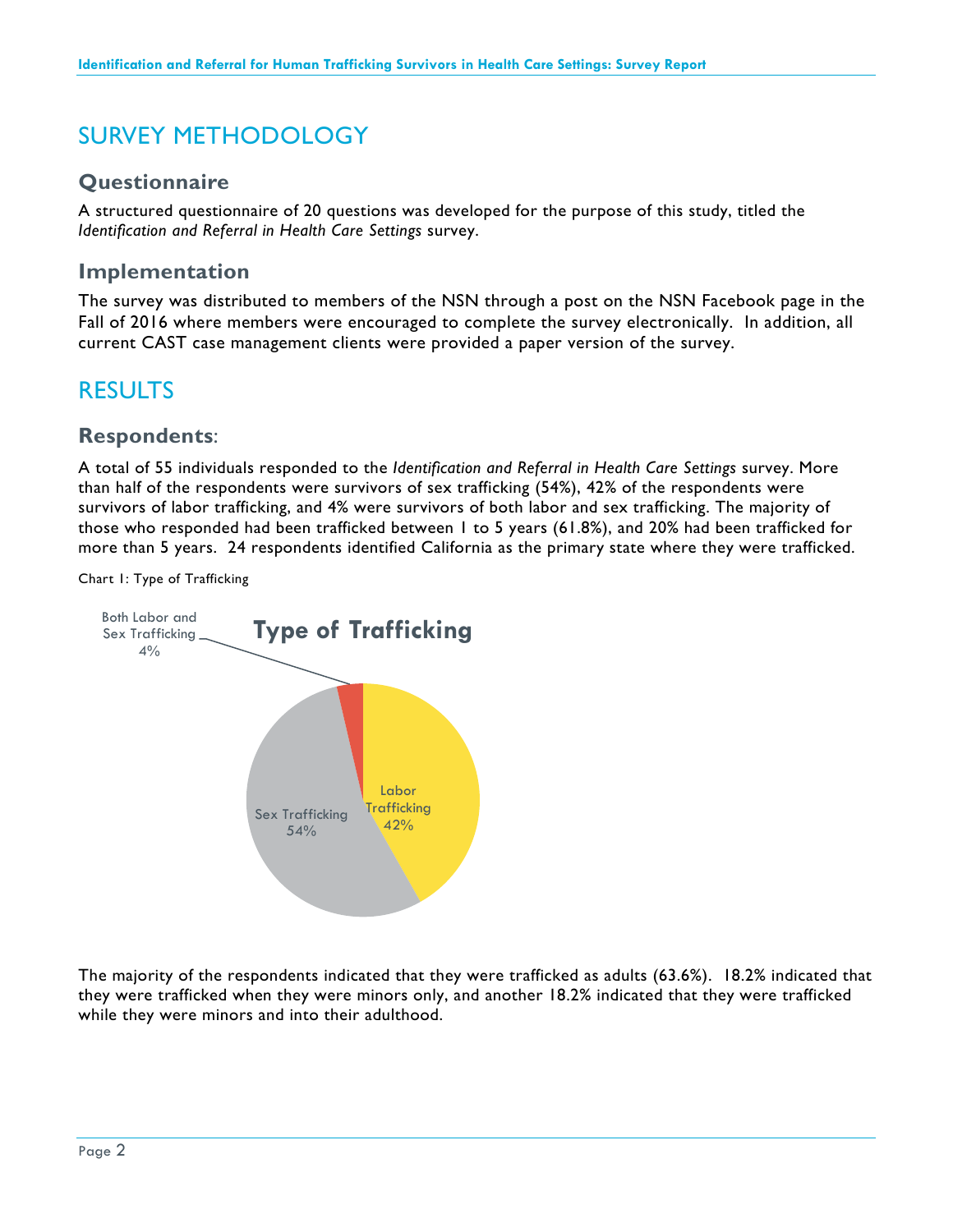# SURVEY METHODOLOGY

#### **Questionnaire**

A structured questionnaire of 20 questions was developed for the purpose of this study, titled the *Identification and Referral in Health Care Settings* survey.

#### **Implementation**

The survey was distributed to members of the NSN through a post on the NSN Facebook page in the Fall of 2016 where members were encouraged to complete the survey electronically. In addition, all current CAST case management clients were provided a paper version of the survey.

# RESULTS

#### **Respondents**:

A total of 55 individuals responded to the *Identification and Referral in Health Care Settings* survey. More than half of the respondents were survivors of sex trafficking (54%), 42% of the respondents were survivors of labor trafficking, and 4% were survivors of both labor and sex trafficking. The majority of those who responded had been trafficked between 1 to 5 years (61.8%), and 20% had been trafficked for more than 5 years. 24 respondents identified California as the primary state where they were trafficked.

Chart 1: Type of Trafficking



The majority of the respondents indicated that they were trafficked as adults (63.6%). 18.2% indicated that they were trafficked when they were minors only, and another 18.2% indicated that they were trafficked while they were minors and into their adulthood.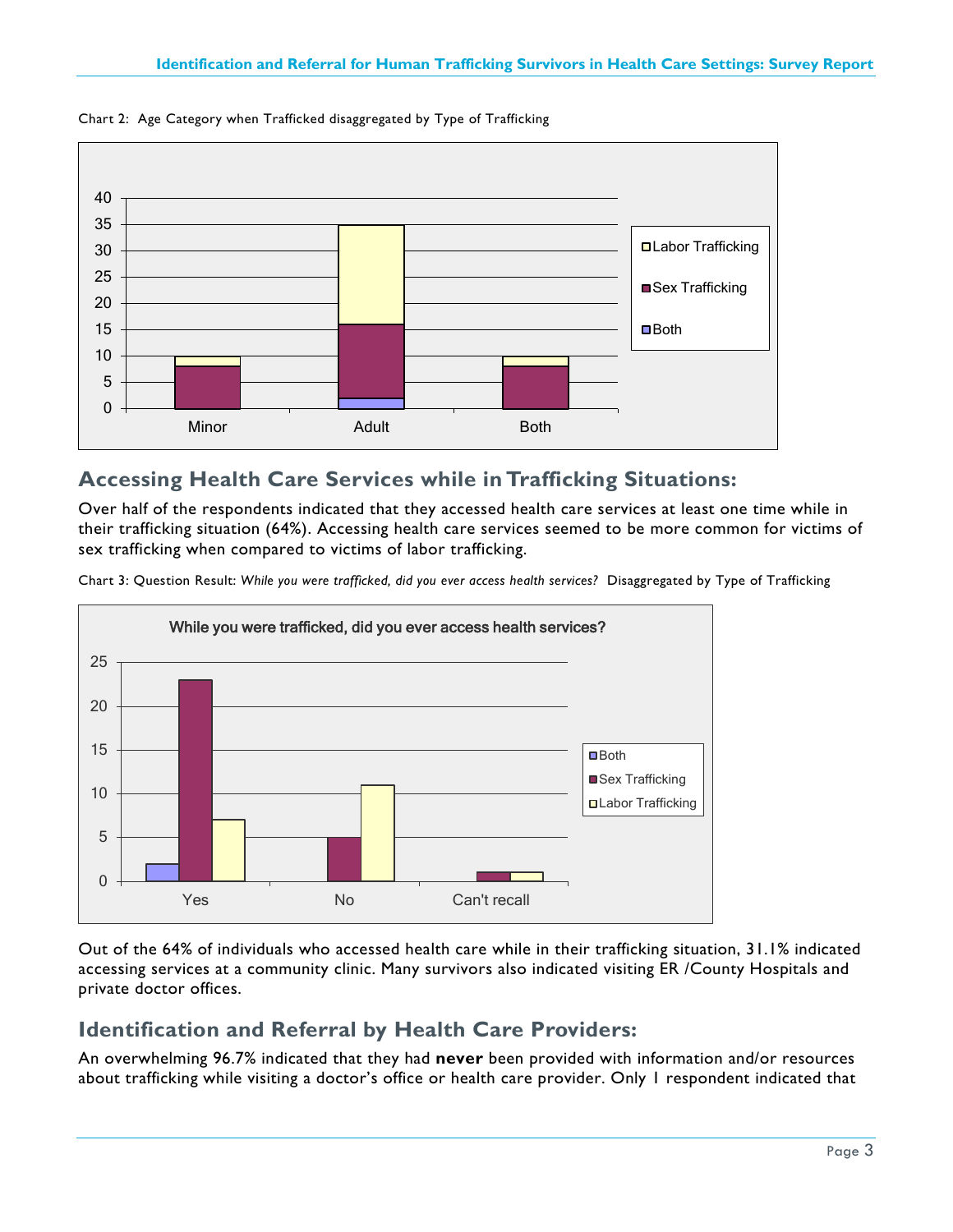

Chart 2: Age Category when Trafficked disaggregated by Type of Trafficking

### **Accessing Health Care Services while in Trafficking Situations:**

Over half of the respondents indicated that they accessed health care services at least one time while in their trafficking situation (64%). Accessing health care services seemed to be more common for victims of sex trafficking when compared to victims of labor trafficking.

Chart 3: Question Result: *While you were trafficked, did you ever access health services?* Disaggregated by Type of Trafficking



Out of the 64% of individuals who accessed health care while in their trafficking situation, 31.1% indicated accessing services at a community clinic. Many survivors also indicated visiting ER /County Hospitals and private doctor offices.

### **Identification and Referral by Health Care Providers:**

An overwhelming 96.7% indicated that they had **never** been provided with information and/or resources about trafficking while visiting a doctor's office or health care provider. Only 1 respondent indicated that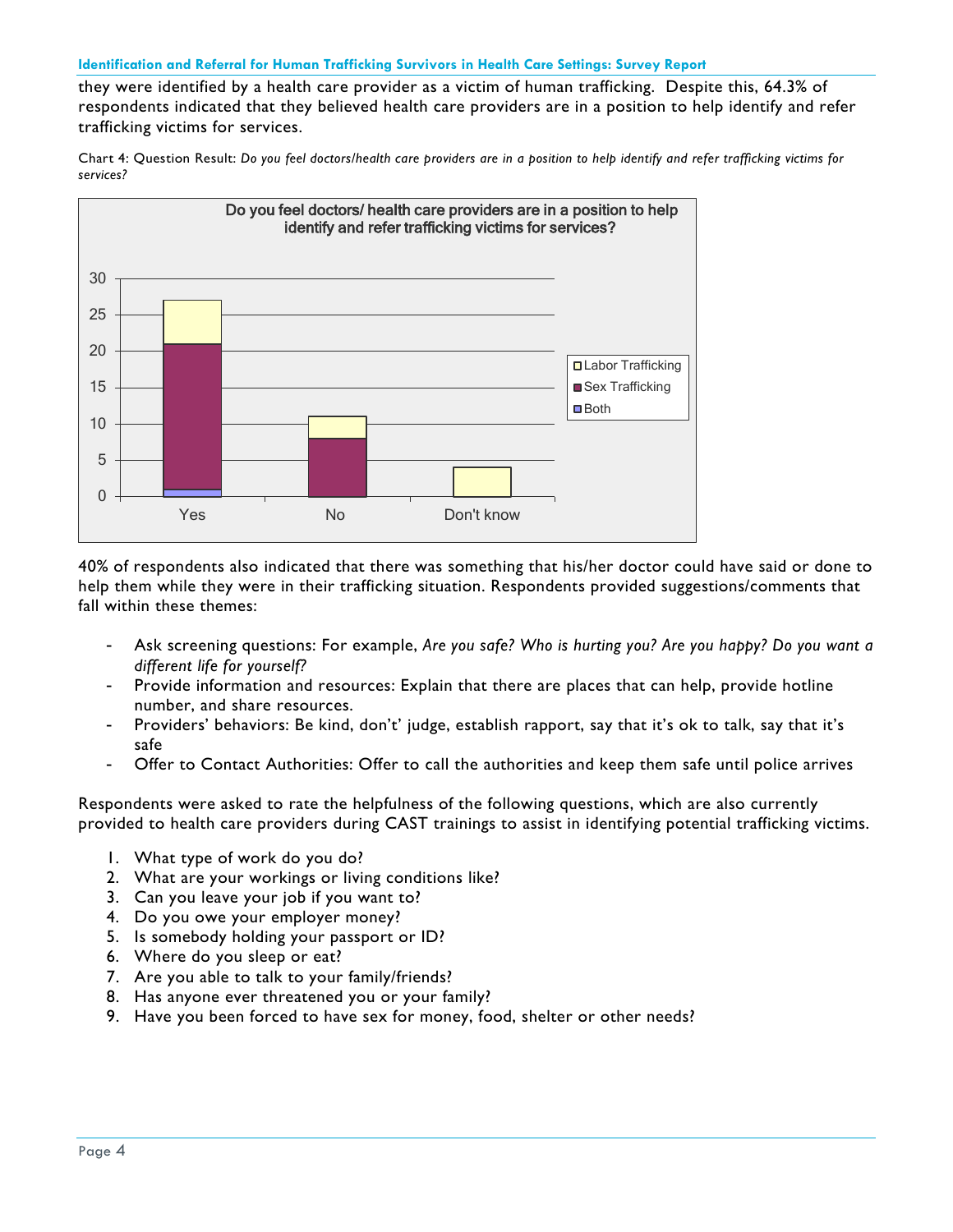#### **Identification and Referral for Human Trafficking Survivors in Health Care Settings: Survey Report**

they were identified by a health care provider as a victim of human trafficking. Despite this, 64.3% of respondents indicated that they believed health care providers are in a position to help identify and refer trafficking victims for services.

Chart 4: Question Result: *Do you feel doctors/health care providers are in a position to help identify and refer trafficking victims for services?* 



40% of respondents also indicated that there was something that his/her doctor could have said or done to help them while they were in their trafficking situation. Respondents provided suggestions/comments that fall within these themes:

- Ask screening questions: For example, *Are you safe? Who is hurting you? Are you happy? Do you want a different life for yourself?*
- Provide information and resources: Explain that there are places that can help, provide hotline number, and share resources.
- Providers' behaviors: Be kind, don't' judge, establish rapport, say that it's ok to talk, say that it's safe
- Offer to Contact Authorities: Offer to call the authorities and keep them safe until police arrives

Respondents were asked to rate the helpfulness of the following questions, which are also currently provided to health care providers during CAST trainings to assist in identifying potential trafficking victims.

- 1. What type of work do you do?
- 2. What are your workings or living conditions like?
- 3. Can you leave your job if you want to?
- 4. Do you owe your employer money?
- 5. Is somebody holding your passport or ID?
- 6. Where do you sleep or eat?
- 7. Are you able to talk to your family/friends?
- 8. Has anyone ever threatened you or your family?
- 9. Have you been forced to have sex for money, food, shelter or other needs?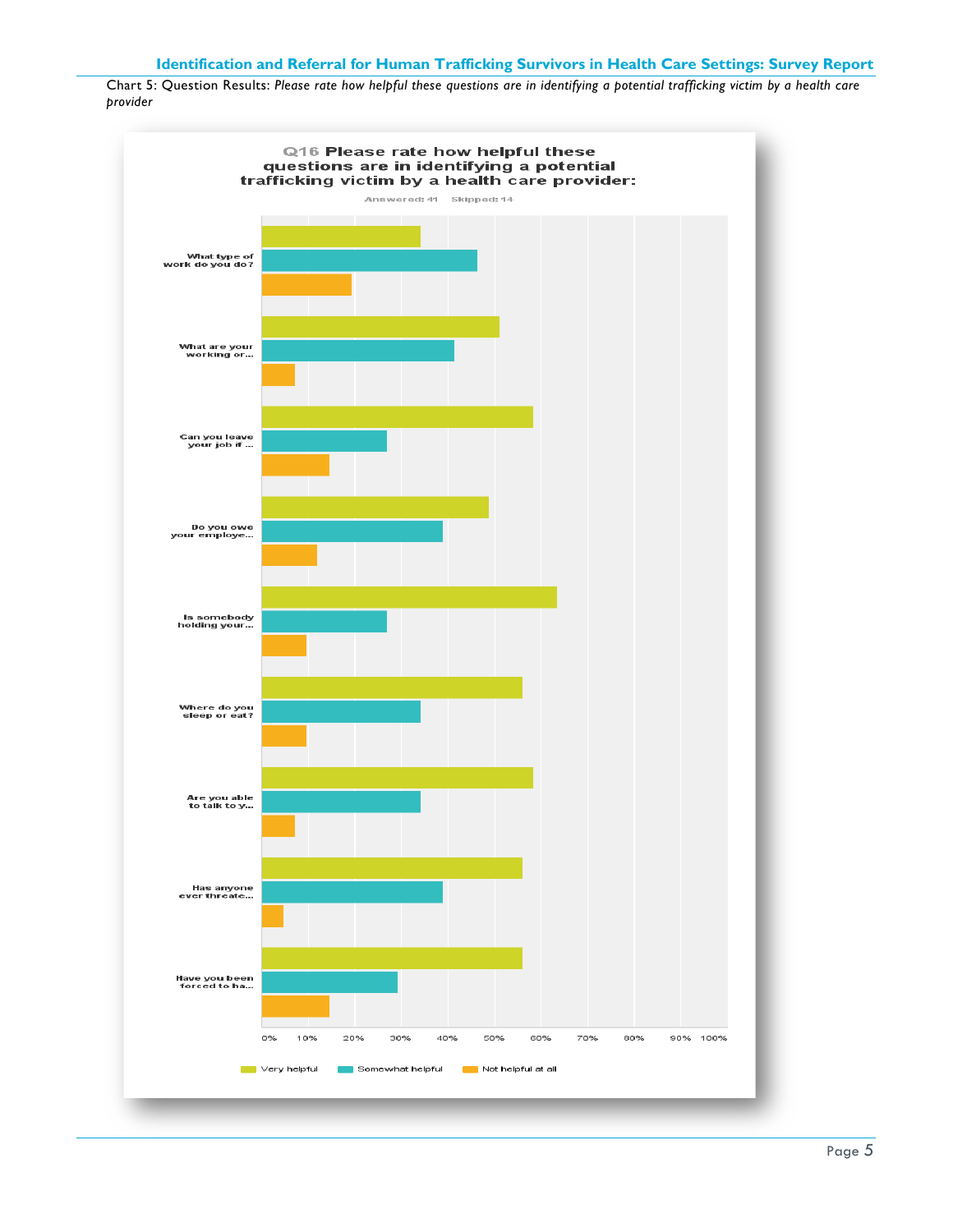Chart 5: Question Results: *Please rate how helpful these questions are in identifying a potential trafficking victim by a health care provider*